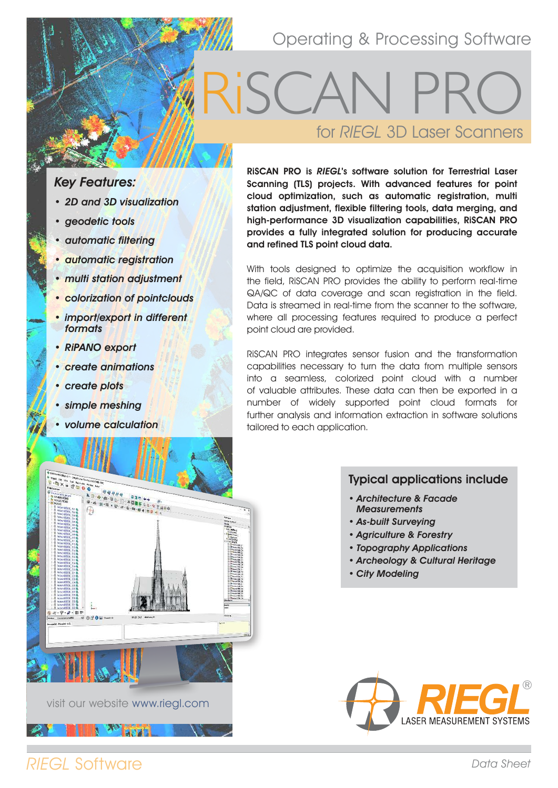# Operating & Processing Software

# for RIEGL 3D Laser Scanners RiSCAN PRO

## Key Features:

- 2D and 3D visualization
- geodetic tools
- automatic filtering
- automatic registration
- multi station adjustment
- colorization of pointclouds
- import/export in different formats
- RiPANO export
- create animations
- create plots
- simple meshing
- volume calculation

**HAQ<br>LO-D-ADNA** 

**16.99 as0** 

RiSCAN PRO is RIEGL's software solution for Terrestrial Laser Scanning (TLS) projects. With advanced features for point cloud optimization, such as automatic registration, multi station adjustment, flexible filtering tools, data merging, and high-performance 3D visualization capabilities, RiSCAN PRO provides a fully integrated solution for producing accurate and refined TLS point cloud data.

With tools designed to optimize the acquisition workflow in the field, RiSCAN PRO provides the ability to perform real-time QA/QC of data coverage and scan registration in the field. Data is streamed in real-time from the scanner to the software, where all processing features required to produce a perfect point cloud are provided.

RiSCAN PRO integrates sensor fusion and the transformation capabilities necessary to turn the data from multiple sensors into a seamless, colorized point cloud with a number of valuable attributes. These data can then be exported in a number of widely supported point cloud formats for further analysis and information extraction in software solutions tailored to each application.

### Typical applications include

- Architecture & Facade **Measurements**
- As-built Surveying
- Agriculture & Forestry
- Topography Applications
- Archeology & Cultural Heritage
- City Modeling



# RIEGL Software

visit our website www.riegl.com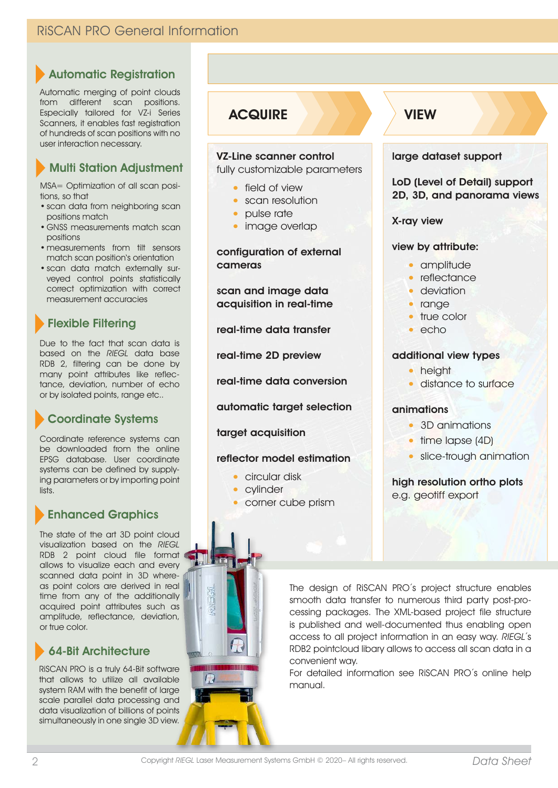## RiSCAN PRO General Information

## Automatic Registration

Automatic merging of point clouds from different scan positions. Especially tailored for VZ-i Series Scanners, it enables fast registration of hundreds of scan positions with no user interaction necessary.

## Multi Station Adjustment

MSA= Optimization of all scan positions, so that

- scan data from neighboring scan positions match
- GNSS measurements match scan positions
- measurements from tilt sensors match scan position's orientation
- scan data match externally surveyed control points statistically correct optimization with correct measurement accuracies

## Flexible Filtering

Due to the fact that scan data is based on the RIEGL data base RDB 2, filtering can be done by many point attributes like reflectance, deviation, number of echo or by isolated points, range etc..

## Coordinate Systems

Coordinate reference systems can be downloaded from the online EPSG database. User coordinate systems can be defined by supplying parameters or by importing point lists.

## Enhanced Graphics

The state of the art 3D point cloud visualization based on the RIEGL RDB 2 point cloud file format allows to visualize each and every scanned data point in 3D whereas point colors are derived in real time from any of the additionally acquired point attributes such as amplitude, reflectance, deviation, or true color.

## 64-Bit Architecture

RiSCAN PRO is a truly 64-Bit software that allows to utilize all available system RAM with the benefit of large scale parallel data processing and data visualization of billions of points simultaneously in one single 3D view.

## **ACQUIRE**

#### VZ-Line scanner control

fully customizable parameters

- field of view
- scan resolution
- pulse rate
- image overlap

#### configuration of external cameras

scan and image data acquisition in real-time

real-time data transfer

real-time 2D preview

real-time data conversion

automatic target selection

#### target acquisition

#### reflector model estimation

- circular disk
- cylinder

Ħ

 $\bigcap$ 

• corner cube prism

## VIEW

#### large dataset support

LoD (Level of Detail) support 2D, 3D, and panorama views

#### X-ray view

#### view by attribute:

- amplitude
- reflectance
- deviation
- range
- true color
- echo

#### additional view types

- height
- distance to surface

#### animations

- 3D animations
- time lapse (4D)
- slice-trough animation

#### high resolution ortho plots e.g. geotiff export

The design of RiSCAN PRO´s project structure enables smooth data transfer to numerous third party post-processing packages. The XML-based project file structure is published and well-documented thus enabling open access to all project information in an easy way. RIEGL´s RDB2 pointcloud libary allows to access all scan data in a convenient way.

For detailed information see RiSCAN PRO´s online help manual.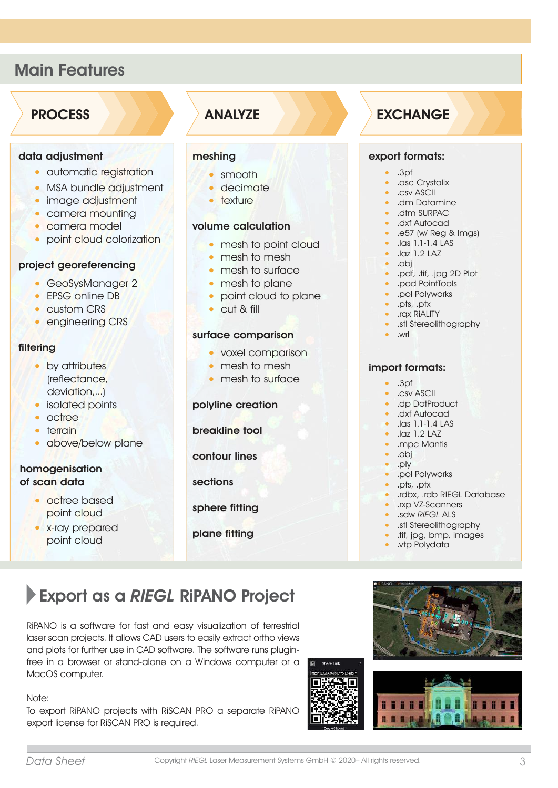## Main Features

## **PROCESS**

#### data adjustment

- automatic registration
- MSA bundle adjustment
- image adjustment
- camera mounting
- camera model
- point cloud colorization

#### project georeferencing

- GeoSysManager 2
- EPSG online DB
- custom CRS
- engineering CRS

#### filtering

- by attributes (reflectance, deviation,...)
- isolated points
- octree
- terrain
- above/below plane

#### homogenisation of scan data

- octree based point cloud
- x-ray prepared point cloud

## ANALYZE

#### meshing

- smooth
- decimate
- texture

#### volume calculation

- mesh to point cloud
- mesh to mesh
- mesh to surface
- mesh to plane
- point cloud to plane
- cut & fill

#### surface comparison

- voxel comparison
- mesh to mesh
- mesh to surface

#### polyline creation

breakline tool

contour lines

sections

sphere fitting

#### plane fitting

## EXCHANGE

#### export formats:

- .3pf
- asc Crystalix
- .csv ASCII
- .dm Datamine
- .dtm SURPAC
- .dxf Autocad
- .e57 (w/ Reg & Imgs)
- .las 1.1-1.4 LAS
- .laz 1.2 LAZ
- .obj
- .pdf, .tif, .jpg 2D Plot
- .pod PointTools • .pol Polyworks
- .pts, .ptx
- 
- .rqx RiALITY
- .stl Stereolithography
- .wrl

#### import formats:

- .3pf
- .csv ASCII
- .dp DotProduct
- .dxf Autocad
- .las 1.1-1.4 LAS
- .laz 1.2 LAZ
- .mpc Mantis
- .obj
- .ply
- pol Polyworks
- .pts, .ptx • .rdbx, .rdb RIEGL Database
- .rxp VZ-Scanners
- .sdw RIEGL ALS
- 
- .stl Stereolithography • .tif, jpg, bmp, images
- .vtp Polydata
- 

# Export as a RIEGL RiPANO Project

RiPANO is a software for fast and easy visualization of terrestrial laser scan projects. It allows CAD users to easily extract ortho views and plots for further use in CAD software. The software runs pluginfree in a browser or stand-alone on a Windows computer or a MacOS computer.

#### Note:

To export RiPANO projects with RiSCAN PRO a separate RiPANO export license for RiSCAN PRO is required.